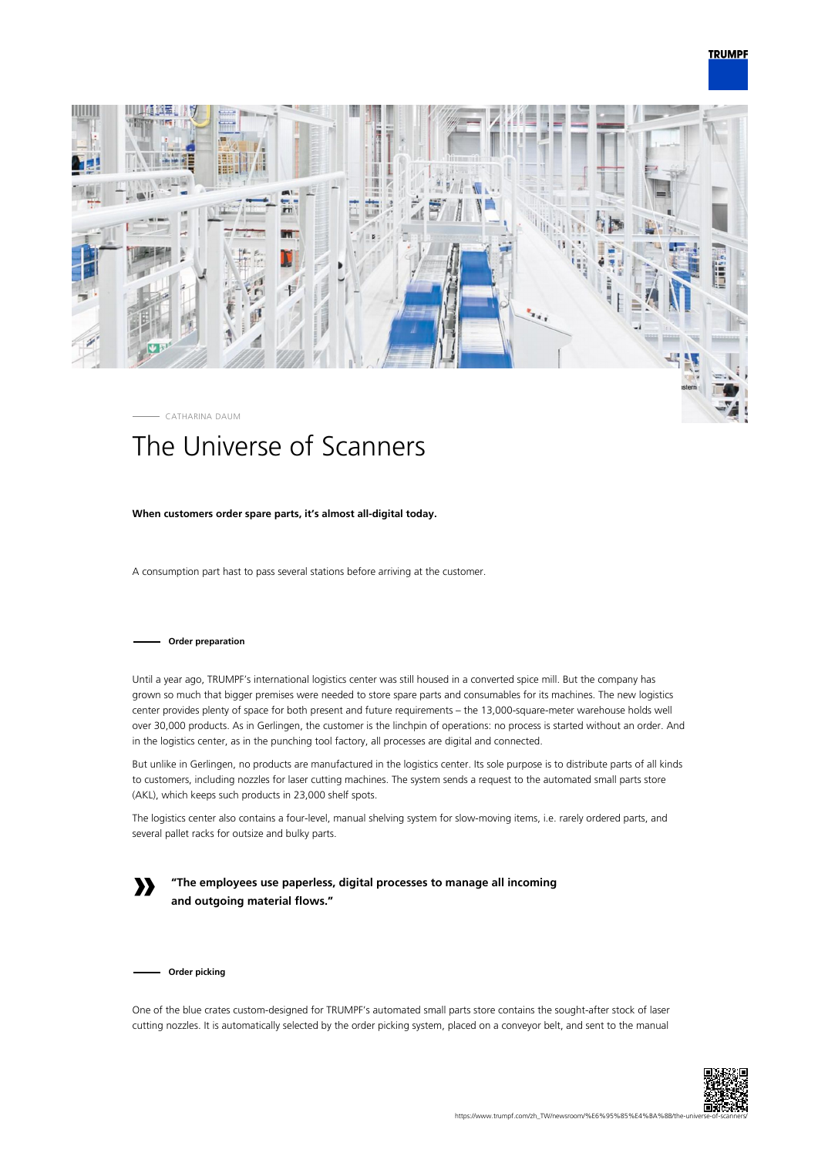



# The Universe of Scanners

## **When customers order spare parts, it's almost all-digital today.**

A consumption part hast to pass several stations before arriving at the customer.

#### **Order preparation**

Until a year ago, TRUMPF's international logistics center was still housed in a converted spice mill. But the company has grown so much that bigger premises were needed to store spare parts and consumables for its machines. The new logistics center provides plenty of space for both present and future requirements – the 13,000-square-meter warehouse holds well over 30,000 products. As in Gerlingen, the customer is the linchpin of operations: no process is started without an order. And in the logistics center, as in the punching tool factory, all processes are digital and connected.

But unlike in Gerlingen, no products are manufactured in the logistics center. Its sole purpose is to distribute parts of all kinds to customers, including nozzles for laser cutting machines. The system sends a request to the automated small parts store (AKL), which keeps such products in 23,000 shelf spots.

The logistics center also contains a four-level, manual shelving system for slow-moving items, i.e. rarely ordered parts, and several pallet racks for outsize and bulky parts.

**»**

**"The employees use paperless, digital processes to manage all incoming and outgoing material flows."**

**Order picking**

One of the blue crates custom-designed for TRUMPF's automated small parts store contains the sought-after stock of laser cutting nozzles. It is automatically selected by the order picking system, placed on a conveyor belt, and sent to the manual

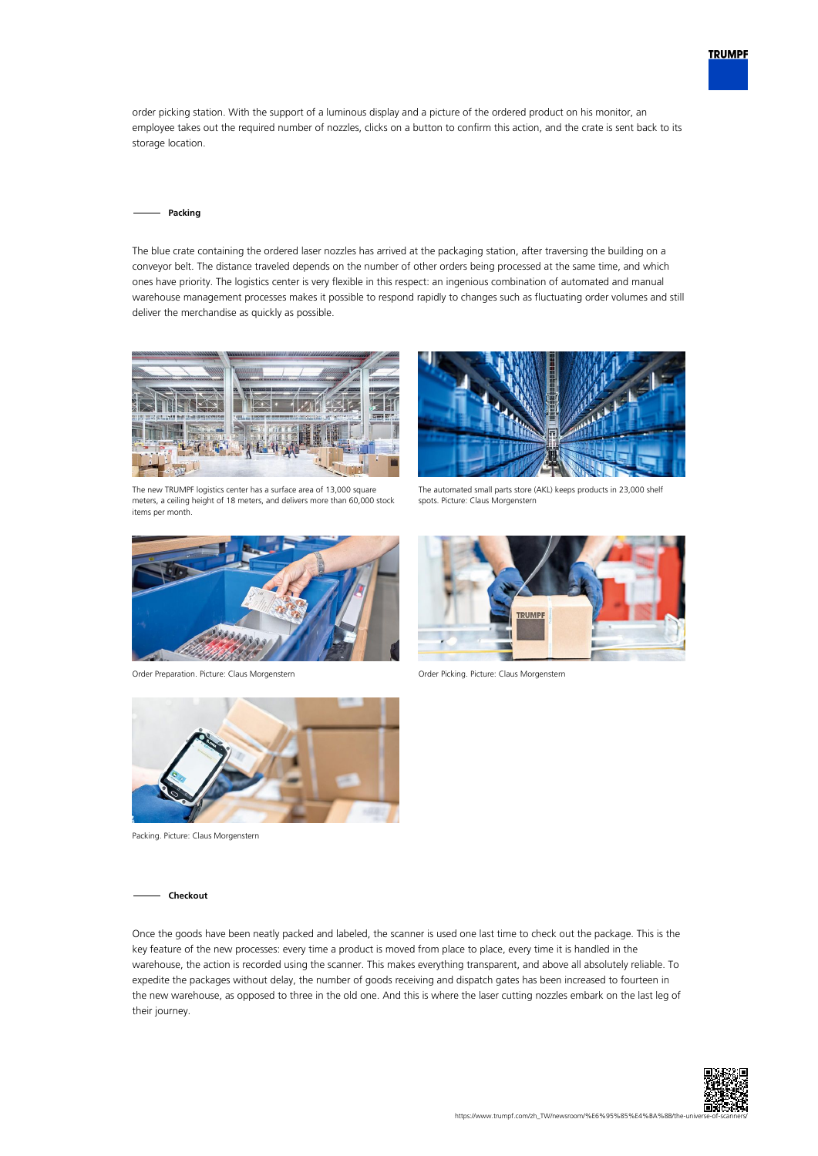

order picking station. With the support of a luminous display and a picture of the ordered product on his monitor, an employee takes out the required number of nozzles, clicks on a button to confirm this action, and the crate is sent back to its storage location.

#### **Packing**

The blue crate containing the ordered laser nozzles has arrived at the packaging station, after traversing the building on a conveyor belt. The distance traveled depends on the number of other orders being processed at the same time, and which ones have priority. The logistics center is very flexible in this respect: an ingenious combination of automated and manual warehouse management processes makes it possible to respond rapidly to changes such as fluctuating order volumes and still deliver the merchandise as quickly as possible.



The new TRUMPF logistics center has a surface area of 13,000 square meters, a ceiling height of 18 meters, and delivers more than 60,000 stock items per month.



Order Preparation. Picture: Claus Morgenstern Order Picking. Picture: Claus Morgenstern



The automated small parts store (AKL) keeps products in 23,000 shelf spots. Picture: Claus Morgenstern





Packing. Picture: Claus Morgenstern

### **Checkout**

Once the goods have been neatly packed and labeled, the scanner is used one last time to check out the package. This is the key feature of the new processes: every time a product is moved from place to place, every time it is handled in the warehouse, the action is recorded using the scanner. This makes everything transparent, and above all absolutely reliable. To expedite the packages without delay, the number of goods receiving and dispatch gates has been increased to fourteen in the new warehouse, as opposed to three in the old one. And this is where the laser cutting nozzles embark on the last leg of their journey.